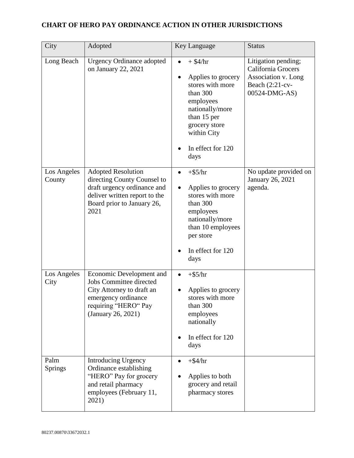| City                  | Adopted                                                                                                                                                        | Key Language                                                                                                                                                                              | <b>Status</b>                                                                                        |
|-----------------------|----------------------------------------------------------------------------------------------------------------------------------------------------------------|-------------------------------------------------------------------------------------------------------------------------------------------------------------------------------------------|------------------------------------------------------------------------------------------------------|
| Long Beach            | <b>Urgency Ordinance adopted</b><br>on January 22, 2021                                                                                                        | $+$ \$4/hr<br>$\bullet$<br>Applies to grocery<br>stores with more<br>than 300<br>employees<br>nationally/more<br>than 15 per<br>grocery store<br>within City<br>In effect for 120<br>days | Litigation pending;<br>California Grocers<br>Association v. Long<br>Beach (2:21-cv-<br>00524-DMG-AS) |
| Los Angeles<br>County | <b>Adopted Resolution</b><br>directing County Counsel to<br>draft urgency ordinance and<br>deliver written report to the<br>Board prior to January 26,<br>2021 | $+$ \$5/hr<br>Applies to grocery<br>stores with more<br>than 300<br>employees<br>nationally/more<br>than 10 employees<br>per store<br>In effect for 120<br>days                           | No update provided on<br>January 26, 2021<br>agenda.                                                 |
| Los Angeles<br>City   | Economic Development and<br><b>Jobs Committee directed</b><br>City Attorney to draft an<br>emergency ordinance<br>requiring "HERO" Pay<br>(January 26, 2021)   | $+$ \$5/hr<br>Applies to grocery<br>stores with more<br>than 300<br>employees<br>nationally<br>In effect for 120<br>days                                                                  |                                                                                                      |
| Palm<br>Springs       | <b>Introducing Urgency</b><br>Ordinance establishing<br>"HERO" Pay for grocery<br>and retail pharmacy<br>employees (February 11,<br>2021)                      | $+$ \$4/hr<br>Applies to both<br>grocery and retail<br>pharmacy stores                                                                                                                    |                                                                                                      |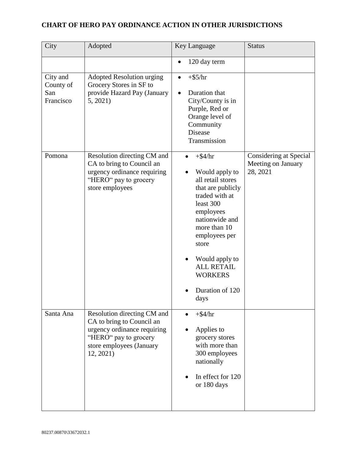| City                                      | Adopted                                                                                                                                                   | Key Language                                                                                                                                                                                                                                                       | <b>Status</b>                                            |
|-------------------------------------------|-----------------------------------------------------------------------------------------------------------------------------------------------------------|--------------------------------------------------------------------------------------------------------------------------------------------------------------------------------------------------------------------------------------------------------------------|----------------------------------------------------------|
|                                           |                                                                                                                                                           | 120 day term                                                                                                                                                                                                                                                       |                                                          |
| City and<br>County of<br>San<br>Francisco | <b>Adopted Resolution urging</b><br>Grocery Stores in SF to<br>provide Hazard Pay (January<br>5, 2021)                                                    | $+$ \$5/hr<br>$\bullet$<br>Duration that<br>City/County is in<br>Purple, Red or<br>Orange level of<br>Community<br>Disease<br>Transmission                                                                                                                         |                                                          |
| Pomona                                    | Resolution directing CM and<br>CA to bring to Council an<br>urgency ordinance requiring<br>"HERO" pay to grocery<br>store employees                       | $+$ \$4/hr<br>Would apply to<br>all retail stores<br>that are publicly<br>traded with at<br>least 300<br>employees<br>nationwide and<br>more than 10<br>employees per<br>store<br>Would apply to<br><b>ALL RETAIL</b><br><b>WORKERS</b><br>Duration of 120<br>days | Considering at Special<br>Meeting on January<br>28, 2021 |
| Santa Ana                                 | Resolution directing CM and<br>CA to bring to Council an<br>urgency ordinance requiring<br>"HERO" pay to grocery<br>store employees (January<br>12, 2021) | $+$ \$4/hr<br>Applies to<br>grocery stores<br>with more than<br>300 employees<br>nationally<br>In effect for 120<br>or 180 days                                                                                                                                    |                                                          |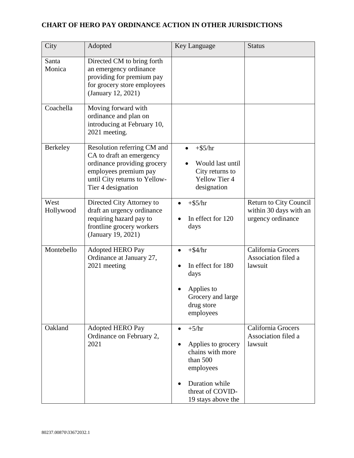| City              | Adopted                                                                                                                                                                | Key Language                                                                                                                                        | <b>Status</b>                                                         |
|-------------------|------------------------------------------------------------------------------------------------------------------------------------------------------------------------|-----------------------------------------------------------------------------------------------------------------------------------------------------|-----------------------------------------------------------------------|
| Santa<br>Monica   | Directed CM to bring forth<br>an emergency ordinance<br>providing for premium pay<br>for grocery store employees<br>(January 12, 2021)                                 |                                                                                                                                                     |                                                                       |
| Coachella         | Moving forward with<br>ordinance and plan on<br>introducing at February 10,<br>2021 meeting.                                                                           |                                                                                                                                                     |                                                                       |
| Berkeley          | Resolution referring CM and<br>CA to draft an emergency<br>ordinance providing grocery<br>employees premium pay<br>until City returns to Yellow-<br>Tier 4 designation | $+$ \$5/hr<br>Would last until<br>City returns to<br><b>Yellow Tier 4</b><br>designation                                                            |                                                                       |
| West<br>Hollywood | Directed City Attorney to<br>draft an urgency ordinance<br>requiring hazard pay to<br>frontline grocery workers<br>(January 19, 2021)                                  | $+$ \$5/hr<br>In effect for 120<br>days                                                                                                             | Return to City Council<br>within 30 days with an<br>urgency ordinance |
| Montebello        | <b>Adopted HERO Pay</b><br>Ordinance at January 27,<br>2021 meeting                                                                                                    | $+$ \$4/hr<br>In effect for 180<br>days<br>Applies to<br>Grocery and large<br>drug store<br>employees                                               | California Grocers<br>Association filed a<br>lawsuit                  |
| Oakland           | Adopted HERO Pay<br>Ordinance on February 2,<br>2021                                                                                                                   | $+5/hr$<br>$\bullet$<br>Applies to grocery<br>chains with more<br>than 500<br>employees<br>Duration while<br>threat of COVID-<br>19 stays above the | California Grocers<br>Association filed a<br>lawsuit                  |